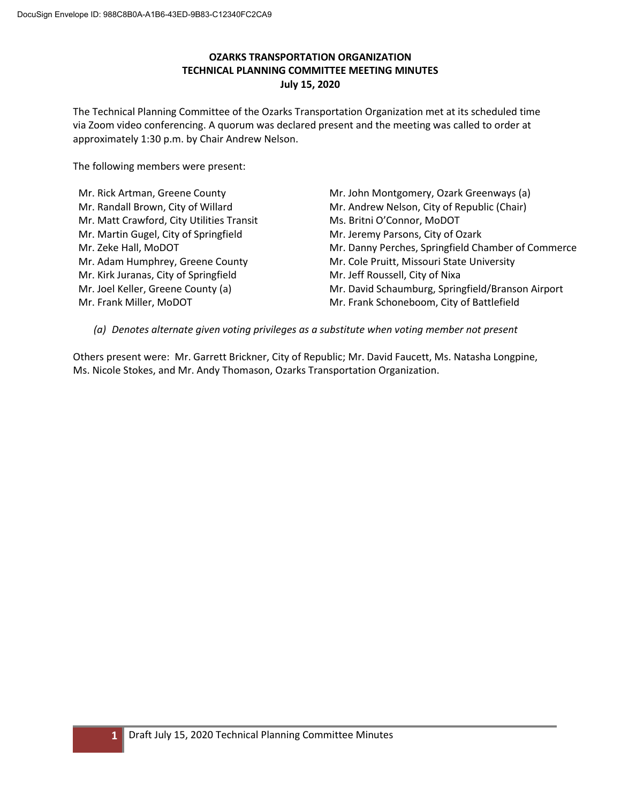# **OZARKS TRANSPORTATION ORGANIZATION TECHNICAL PLANNING COMMITTEE MEETING MINUTES July 15, 2020**

The Technical Planning Committee of the Ozarks Transportation Organization met at its scheduled time via Zoom video conferencing. A quorum was declared present and the meeting was called to order at approximately 1:30 p.m. by Chair Andrew Nelson.

The following members were present:

Mr. Rick Artman, Greene County Mr. Randall Brown, City of Willard Mr. Matt Crawford, City Utilities Transit Mr. Martin Gugel, City of Springfield Mr. Zeke Hall, MoDOT Mr. Adam Humphrey, Greene County Mr. Kirk Juranas, City of Springfield Mr. Joel Keller, Greene County (a) Mr. Frank Miller, MoDOT

Mr. John Montgomery, Ozark Greenways (a) Mr. Andrew Nelson, City of Republic (Chair) Ms. Britni O'Connor, MoDOT Mr. Jeremy Parsons, City of Ozark Mr. Danny Perches, Springfield Chamber of Commerce Mr. Cole Pruitt, Missouri State University Mr. Jeff Roussell, City of Nixa Mr. David Schaumburg, Springfield/Branson Airport Mr. Frank Schoneboom, City of Battlefield

*(a) Denotes alternate given voting privileges as a substitute when voting member not present*

Others present were: Mr. Garrett Brickner, City of Republic; Mr. David Faucett, Ms. Natasha Longpine, Ms. Nicole Stokes, and Mr. Andy Thomason, Ozarks Transportation Organization.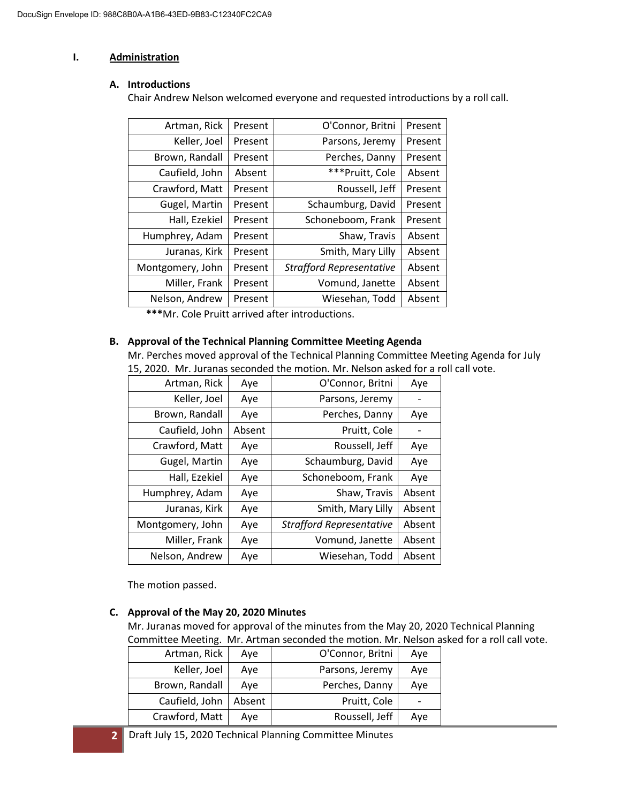## **I. Administration**

#### **A. Introductions**

Chair Andrew Nelson welcomed everyone and requested introductions by a roll call.

| Artman, Rick     | Present | O'Connor, Britni                | Present |
|------------------|---------|---------------------------------|---------|
| Keller, Joel     | Present | Parsons, Jeremy                 | Present |
| Brown, Randall   | Present | Perches, Danny                  | Present |
| Caufield, John   | Absent  | ***Pruitt, Cole                 | Absent  |
| Crawford, Matt   | Present | Roussell, Jeff                  | Present |
| Gugel, Martin    | Present | Schaumburg, David               | Present |
| Hall, Ezekiel    | Present | Schoneboom, Frank               | Present |
| Humphrey, Adam   | Present | Shaw, Travis                    | Absent  |
| Juranas, Kirk    | Present | Smith, Mary Lilly               | Absent  |
| Montgomery, John | Present | <b>Strafford Representative</b> | Absent  |
| Miller, Frank    | Present | Vomund, Janette                 | Absent  |
| Nelson, Andrew   | Present | Wiesehan, Todd                  | Absent  |

**\*\*\***Mr. Cole Pruitt arrived after introductions.

## **B. Approval of the Technical Planning Committee Meeting Agenda**

Mr. Perches moved approval of the Technical Planning Committee Meeting Agenda for July 15, 2020. Mr. Juranas seconded the motion. Mr. Nelson asked for a roll call vote.

| Artman, Rick     | Aye    | O'Connor, Britni                | Aye    |
|------------------|--------|---------------------------------|--------|
| Keller, Joel     | Aye    | Parsons, Jeremy                 |        |
| Brown, Randall   | Aye    | Perches, Danny                  | Aye    |
| Caufield, John   | Absent | Pruitt, Cole                    |        |
| Crawford, Matt   | Aye    | Roussell, Jeff                  | Aye    |
| Gugel, Martin    | Aye    | Schaumburg, David               | Aye    |
| Hall, Ezekiel    | Aye    | Schoneboom, Frank               | Aye    |
| Humphrey, Adam   | Aye    | Shaw, Travis                    | Absent |
| Juranas, Kirk    | Aye    | Smith, Mary Lilly               | Absent |
| Montgomery, John | Aye    | <b>Strafford Representative</b> | Absent |
| Miller, Frank    | Aye    | Vomund, Janette                 | Absent |
| Nelson, Andrew   | Aye    | Wiesehan, Todd                  | Absent |

The motion passed.

## **C. Approval of the May 20, 2020 Minutes**

Mr. Juranas moved for approval of the minutes from the May 20, 2020 Technical Planning Committee Meeting. Mr. Artman seconded the motion. Mr. Nelson asked for a roll call vote.

| Artman, Rick   | Ave    | O'Connor, Britni | Ave |
|----------------|--------|------------------|-----|
| Keller, Joel   | Aye    | Parsons, Jeremy  | Aye |
| Brown, Randall | Ave    | Perches, Danny   | Ave |
| Caufield, John | Absent | Pruitt, Cole     |     |
| Crawford, Matt | Ave    | Roussell, Jeff   | Ave |

**2** Draft July 15, 2020 Technical Planning Committee Minutes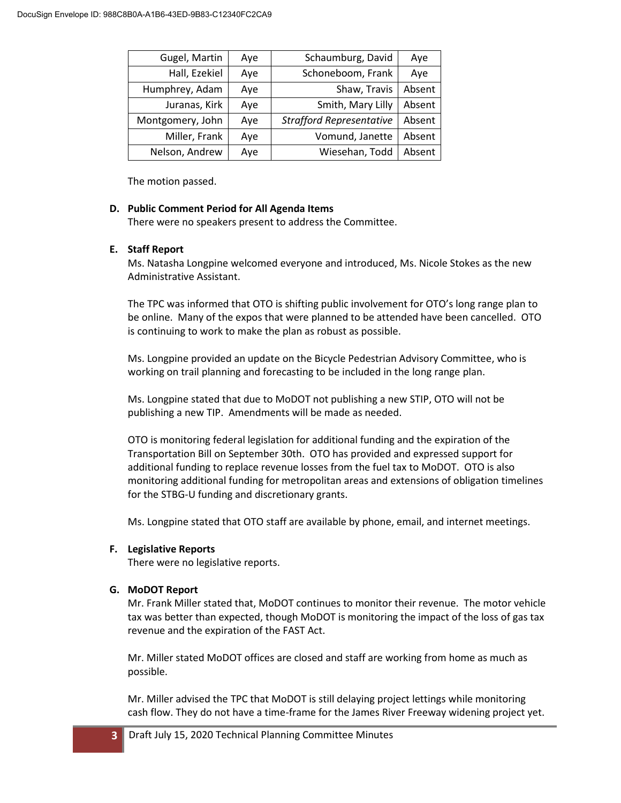| Gugel, Martin    | Aye | Schaumburg, David               | Aye    |
|------------------|-----|---------------------------------|--------|
| Hall, Ezekiel    | Aye | Schoneboom, Frank               | Aye    |
| Humphrey, Adam   | Aye | Shaw, Travis                    | Absent |
| Juranas, Kirk    | Aye | Smith, Mary Lilly               | Absent |
| Montgomery, John | Aye | <b>Strafford Representative</b> | Absent |
| Miller, Frank    | Aye | Vomund, Janette                 | Absent |
| Nelson, Andrew   | Aye | Wiesehan, Todd                  | Absent |

#### **D. Public Comment Period for All Agenda Items**

There were no speakers present to address the Committee.

## **E. Staff Report**

Ms. Natasha Longpine welcomed everyone and introduced, Ms. Nicole Stokes as the new Administrative Assistant.

The TPC was informed that OTO is shifting public involvement for OTO's long range plan to be online. Many of the expos that were planned to be attended have been cancelled. OTO is continuing to work to make the plan as robust as possible.

Ms. Longpine provided an update on the Bicycle Pedestrian Advisory Committee, who is working on trail planning and forecasting to be included in the long range plan.

Ms. Longpine stated that due to MoDOT not publishing a new STIP, OTO will not be publishing a new TIP. Amendments will be made as needed.

OTO is monitoring federal legislation for additional funding and the expiration of the Transportation Bill on September 30th. OTO has provided and expressed support for additional funding to replace revenue losses from the fuel tax to MoDOT. OTO is also monitoring additional funding for metropolitan areas and extensions of obligation timelines for the STBG-U funding and discretionary grants.

Ms. Longpine stated that OTO staff are available by phone, email, and internet meetings.

## **F. Legislative Reports**

There were no legislative reports.

## **G. MoDOT Report**

Mr. Frank Miller stated that, MoDOT continues to monitor their revenue. The motor vehicle tax was better than expected, though MoDOT is monitoring the impact of the loss of gas tax revenue and the expiration of the FAST Act.

Mr. Miller stated MoDOT offices are closed and staff are working from home as much as possible.

Mr. Miller advised the TPC that MoDOT is still delaying project lettings while monitoring cash flow. They do not have a time-frame for the James River Freeway widening project yet.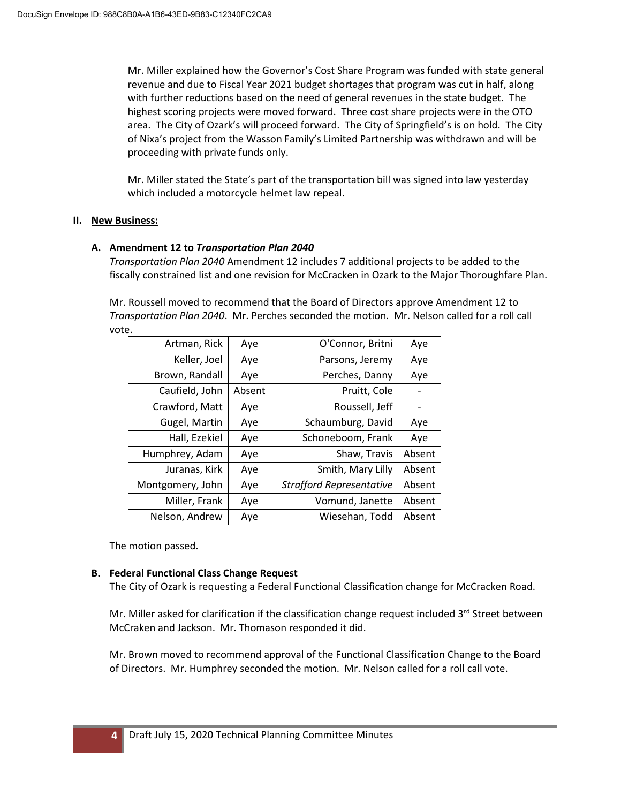Mr. Miller explained how the Governor's Cost Share Program was funded with state general revenue and due to Fiscal Year 2021 budget shortages that program was cut in half, along with further reductions based on the need of general revenues in the state budget. The highest scoring projects were moved forward. Three cost share projects were in the OTO area. The City of Ozark's will proceed forward. The City of Springfield's is on hold. The City of Nixa's project from the Wasson Family's Limited Partnership was withdrawn and will be proceeding with private funds only.

Mr. Miller stated the State's part of the transportation bill was signed into law yesterday which included a motorcycle helmet law repeal.

## **II. New Business:**

## **A. Amendment 12 to** *Transportation Plan 2040*

*Transportation Plan 2040* Amendment 12 includes 7 additional projects to be added to the fiscally constrained list and one revision for McCracken in Ozark to the Major Thoroughfare Plan.

Mr. Roussell moved to recommend that the Board of Directors approve Amendment 12 to *Transportation Plan 2040*. Mr. Perches seconded the motion. Mr. Nelson called for a roll call vote.

| Artman, Rick     | Aye    | O'Connor, Britni                | Aye    |
|------------------|--------|---------------------------------|--------|
| Keller, Joel     | Aye    | Parsons, Jeremy                 | Aye    |
| Brown, Randall   | Aye    | Perches, Danny                  | Aye    |
| Caufield, John   | Absent | Pruitt, Cole                    |        |
| Crawford, Matt   | Aye    | Roussell, Jeff                  |        |
| Gugel, Martin    | Aye    | Schaumburg, David               | Aye    |
| Hall, Ezekiel    | Aye    | Schoneboom, Frank               | Aye    |
| Humphrey, Adam   | Aye    | Shaw, Travis                    | Absent |
| Juranas, Kirk    | Aye    | Smith, Mary Lilly               | Absent |
| Montgomery, John | Aye    | <b>Strafford Representative</b> | Absent |
| Miller, Frank    | Aye    | Vomund, Janette                 | Absent |
| Nelson, Andrew   | Aye    | Wiesehan, Todd                  | Absent |

The motion passed.

## **B. Federal Functional Class Change Request**

The City of Ozark is requesting a Federal Functional Classification change for McCracken Road.

Mr. Miller asked for clarification if the classification change request included 3<sup>rd</sup> Street between McCraken and Jackson. Mr. Thomason responded it did.

Mr. Brown moved to recommend approval of the Functional Classification Change to the Board of Directors. Mr. Humphrey seconded the motion. Mr. Nelson called for a roll call vote.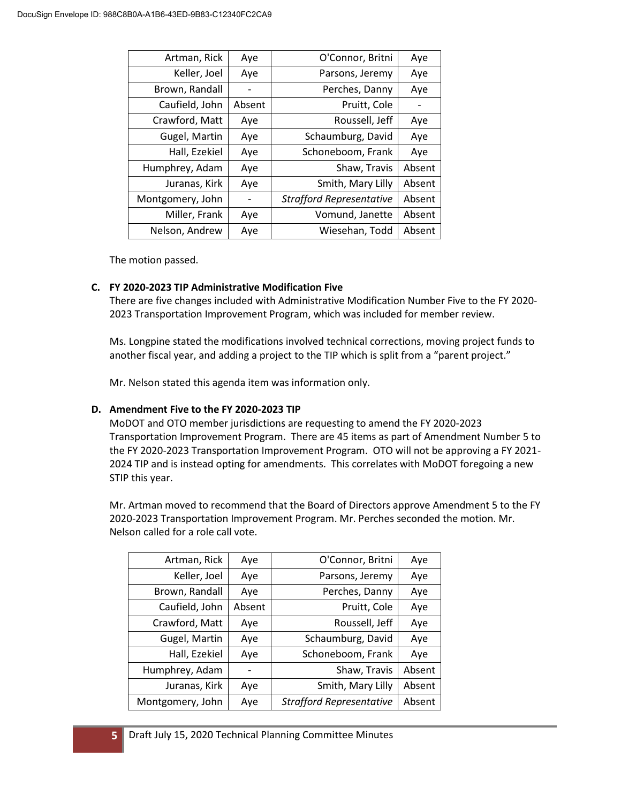| Artman, Rick     | Aye    | O'Connor, Britni                | Aye    |
|------------------|--------|---------------------------------|--------|
| Keller, Joel     | Aye    | Parsons, Jeremy                 | Aye    |
| Brown, Randall   |        | Perches, Danny                  | Aye    |
| Caufield, John   | Absent | Pruitt, Cole                    |        |
| Crawford, Matt   | Aye    | Roussell, Jeff                  | Aye    |
| Gugel, Martin    | Aye    | Schaumburg, David               | Aye    |
| Hall, Ezekiel    | Aye    | Schoneboom, Frank               | Aye    |
| Humphrey, Adam   | Aye    | Shaw, Travis                    | Absent |
| Juranas, Kirk    | Aye    | Smith, Mary Lilly               | Absent |
| Montgomery, John |        | <b>Strafford Representative</b> | Absent |
| Miller, Frank    | Aye    | Vomund, Janette                 | Absent |
| Nelson, Andrew   | Aye    | Wiesehan, Todd                  | Absent |

## **C. FY 2020-2023 TIP Administrative Modification Five**

There are five changes included with Administrative Modification Number Five to the FY 2020- 2023 Transportation Improvement Program, which was included for member review.

Ms. Longpine stated the modifications involved technical corrections, moving project funds to another fiscal year, and adding a project to the TIP which is split from a "parent project."

Mr. Nelson stated this agenda item was information only.

## **D. Amendment Five to the FY 2020-2023 TIP**

MoDOT and OTO member jurisdictions are requesting to amend the FY 2020-2023 Transportation Improvement Program. There are 45 items as part of Amendment Number 5 to the FY 2020-2023 Transportation Improvement Program. OTO will not be approving a FY 2021- 2024 TIP and is instead opting for amendments. This correlates with MoDOT foregoing a new STIP this year.

Mr. Artman moved to recommend that the Board of Directors approve Amendment 5 to the FY 2020-2023 Transportation Improvement Program. Mr. Perches seconded the motion. Mr. Nelson called for a role call vote.

| Artman, Rick     | Aye    | O'Connor, Britni                | Aye    |
|------------------|--------|---------------------------------|--------|
| Keller, Joel     | Aye    | Parsons, Jeremy                 | Aye    |
| Brown, Randall   | Aye    | Perches, Danny                  | Aye    |
| Caufield, John   | Absent | Pruitt, Cole                    | Aye    |
| Crawford, Matt   | Aye    | Roussell, Jeff                  | Aye    |
| Gugel, Martin    | Aye    | Schaumburg, David               | Aye    |
| Hall, Ezekiel    | Aye    | Schoneboom, Frank               | Aye    |
| Humphrey, Adam   |        | Shaw, Travis                    | Absent |
| Juranas, Kirk    | Aye    | Smith, Mary Lilly               | Absent |
| Montgomery, John | Aye    | <b>Strafford Representative</b> | Absent |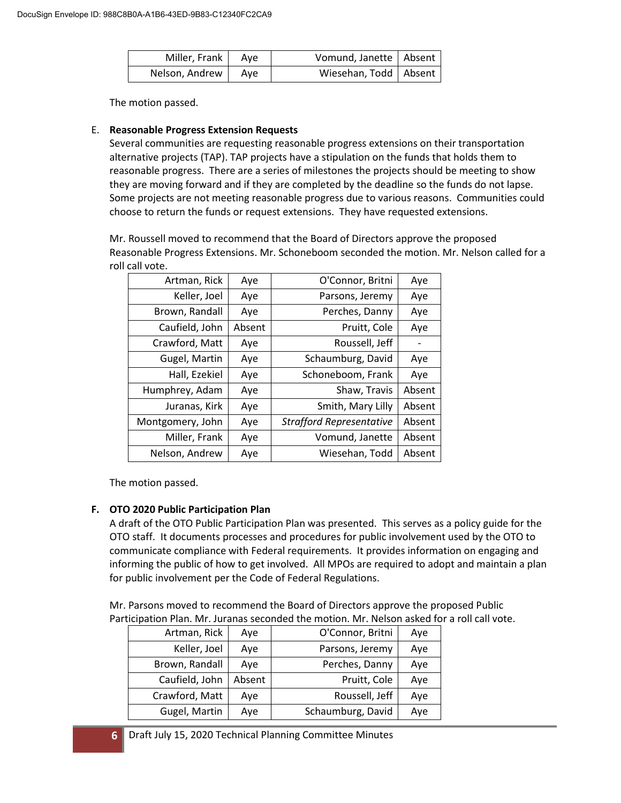| Miller, Frank   Aye  | Vomund, Janette   Absent |  |
|----------------------|--------------------------|--|
| Nelson, Andrew   Aye | Wiesehan, Todd   Absent  |  |

## E. **Reasonable Progress Extension Requests**

Several communities are requesting reasonable progress extensions on their transportation alternative projects (TAP). TAP projects have a stipulation on the funds that holds them to reasonable progress. There are a series of milestones the projects should be meeting to show they are moving forward and if they are completed by the deadline so the funds do not lapse. Some projects are not meeting reasonable progress due to various reasons. Communities could choose to return the funds or request extensions. They have requested extensions.

Mr. Roussell moved to recommend that the Board of Directors approve the proposed Reasonable Progress Extensions. Mr. Schoneboom seconded the motion. Mr. Nelson called for a roll call vote.

| Artman, Rick     | Aye    | O'Connor, Britni                | Aye    |
|------------------|--------|---------------------------------|--------|
| Keller, Joel     | Aye    | Parsons, Jeremy                 | Aye    |
| Brown, Randall   | Aye    | Perches, Danny                  | Aye    |
| Caufield, John   | Absent | Pruitt, Cole                    | Aye    |
| Crawford, Matt   | Aye    | Roussell, Jeff                  |        |
| Gugel, Martin    | Aye    | Schaumburg, David               | Aye    |
| Hall, Ezekiel    | Aye    | Schoneboom, Frank               | Aye    |
| Humphrey, Adam   | Aye    | Shaw, Travis                    | Absent |
| Juranas, Kirk    | Aye    | Smith, Mary Lilly               | Absent |
| Montgomery, John | Aye    | <b>Strafford Representative</b> | Absent |
| Miller, Frank    | Aye    | Vomund, Janette                 | Absent |
| Nelson, Andrew   | Aye    | Wiesehan, Todd                  | Absent |

The motion passed.

# **F. OTO 2020 Public Participation Plan**

A draft of the OTO Public Participation Plan was presented. This serves as a policy guide for the OTO staff. It documents processes and procedures for public involvement used by the OTO to communicate compliance with Federal requirements. It provides information on engaging and informing the public of how to get involved. All MPOs are required to adopt and maintain a plan for public involvement per the Code of Federal Regulations.

Mr. Parsons moved to recommend the Board of Directors approve the proposed Public Participation Plan. Mr. Juranas seconded the motion. Mr. Nelson asked for a roll call vote.

| Artman, Rick   | Aye    | O'Connor, Britni  | Aye |
|----------------|--------|-------------------|-----|
| Keller, Joel   | Aye    | Parsons, Jeremy   | Aye |
| Brown, Randall | Aye    | Perches, Danny    | Aye |
| Caufield, John | Absent | Pruitt, Cole      | Aye |
| Crawford, Matt | Aye    | Roussell, Jeff    | Aye |
| Gugel, Martin  | Aye    | Schaumburg, David | Aye |